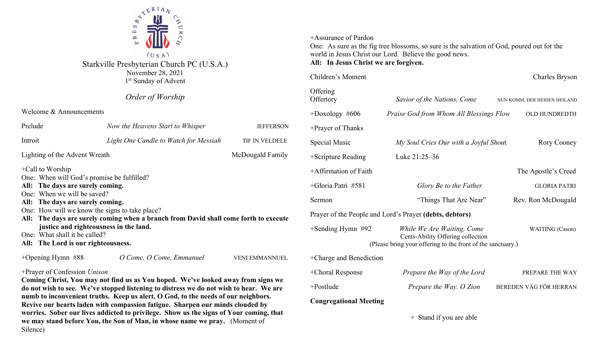

Starkville Presbyterian Church PC (U.S.A.) November 28, 2021 1<sup>st</sup> Sunday of Advent

## *Order of Worship*

Welcome & Announcements

| Prelude                                                                                                                                                                                                                                                                                                                                                                                                                              | Now the Heavens Start to Whisper      | JEFFERSON        |  |  |
|--------------------------------------------------------------------------------------------------------------------------------------------------------------------------------------------------------------------------------------------------------------------------------------------------------------------------------------------------------------------------------------------------------------------------------------|---------------------------------------|------------------|--|--|
| Introit                                                                                                                                                                                                                                                                                                                                                                                                                              | Light One Candle to Watch for Messiah | TIF IN VELDELE   |  |  |
| Lighting of the Advent Wreath                                                                                                                                                                                                                                                                                                                                                                                                        |                                       | McDougald Family |  |  |
| $+$ Call to Worship<br>One: When will God's promise be fulfilled?<br>All: The days are surely coming.<br>One: When we will be saved?<br>All: The days are surely coming.<br>One: How will we know the signs to take place?<br>All: The days are surely coming when a branch from David shall come forth to execute<br>justice and righteousness in the land.<br>One: What shall it be called?<br>All: The Lord is our righteousness. |                                       |                  |  |  |
| +Opening Hymn $#88$                                                                                                                                                                                                                                                                                                                                                                                                                  | O Come, O Come, Emmanuel              | VENI EMMANNUEL   |  |  |

## +Prayer of Confession *Unison*

**Coming Christ, You may not find us as You hoped. We've looked away from signs we do not wish to see. We've stopped listening to distress we do not wish to hear. We are numb to inconvenient truths. Keep us alert, O God, to the needs of our neighbors. Revive our hearts laden with compassion fatigue. Sharpen our minds clouded by worries. Sober our lives addicted to privilege. Show us the signs of Your coming, that we may stand before You, the Son of Man, in whose name we pray.** (Moment of Silence)

## +Assurance of Pardon

One: As sure as the fig tree blossoms, so sure is the salvation of God, poured out for the world in Jesus Christ our Lord. Believe the good news.

## **All: In Jesus Christ we are forgiven.**

| Children's Moment                                                                                                                                      |                                                         | <b>Charles Bryson</b>        |
|--------------------------------------------------------------------------------------------------------------------------------------------------------|---------------------------------------------------------|------------------------------|
| Offering<br>Offertory                                                                                                                                  | Savior of the Nations, Come                             | NUN KOMM, DER HEIDEN HEILAND |
| $+$ Doxology #606                                                                                                                                      | Praise God from Whom All Blessings Flow                 | OLD HUNDREDTH                |
| +Prayer of Thanks                                                                                                                                      |                                                         |                              |
| Special Music                                                                                                                                          | My Soul Cries Our with a Joyful Shout                   | Rory Cooney                  |
| +Scripture Reading                                                                                                                                     | Luke 21:25-36                                           |                              |
| +Affirmation of Faith                                                                                                                                  |                                                         | The Apostle's Creed          |
| +Gloria Patri #581                                                                                                                                     | Glory Be to the Father                                  | <b>GLORIA PATRI</b>          |
| Sermon                                                                                                                                                 | "Things That Are Near"                                  | Rev. Ron McDougald           |
|                                                                                                                                                        | Prayer of the People and Lord's Prayer (debts, debtors) |                              |
| $+$ Sending Hymn #92<br>While We Are Waiting, Come<br>Cents-Ability Offering collection<br>(Please bring your offering to the front of the sanctuary.) |                                                         | WAITING (Cason)              |
| +Charge and Benediction                                                                                                                                |                                                         |                              |
| +Choral Response                                                                                                                                       | Prepare the Way of the Lord                             | PREPARE THE WAY              |
| +Postlude                                                                                                                                              | Prepare the Way. O Zion                                 | BEREDEN VÄG FÖR HERRAN       |
| <b>Congregational Meeting</b>                                                                                                                          |                                                         |                              |
|                                                                                                                                                        |                                                         |                              |

+ Stand if you are able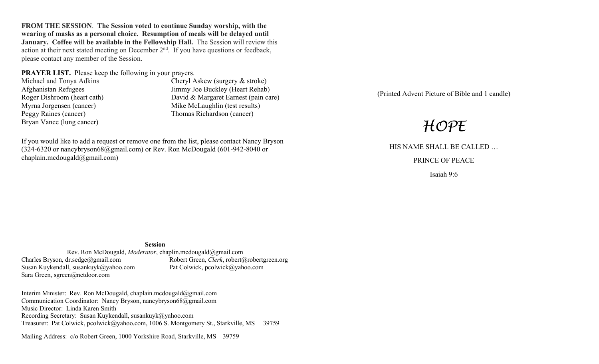**FROM THE SESSION**. **The Session voted to continue Sunday worship, with the wearing of masks as a personal choice. Resumption of meals will be delayed until January. Coffee will be available in the Fellowship Hall.** The Session will review this action at their next stated meeting on December  $2<sup>nd</sup>$ . If you have questions or feedback, please contact any member of the Session.

**PRAYER LIST.** Please keep the following in your prayers.

Peggy Raines (cancer) Thomas Richardson (cancer) Bryan Vance (lung cancer)

Michael and Tonya Adkins Cheryl Askew (surgery & stroke) Afghanistan Refugees Jimmy Joe Buckley (Heart Rehab) Roger Dishroom (heart cath) David & Margaret Earnest (pain care) Myrna Jorgensen (cancer) Mike McLaughlin (test results)

If you would like to add a request or remove one from the list, please contact Nancy Bryson (324-6320 or nancybryson68@gmail.com) or Rev. Ron McDougald (601-942-8040 or chaplain.mcdougald@gmail.com)

(Printed Advent Picture of Bible and 1 candle)

# *HOPE*

HIS NAME SHALL BE CALLED …

PRINCE OF PEACE

Isaiah 9:6

#### **Session**

Rev. Ron McDougald, *Moderator*, chaplin.mcdougald@gmail.com<br>Charles Bryson, dr.sedge@gmail.com Robert Green, *Clerk*, robert (4) Robert Green, *Clerk*, robert@robertgreen.org<br>Pat Colwick, pcolwick@yahoo.com Susan Kuykendall, susankuyk@yahoo.com Sara Green, sgreen@netdoor.com

Interim Minister: Rev. Ron McDougald, chaplain.mcdougald@gmail.com Communication Coordinator: Nancy Bryson, nancybryson68@gmail.com Music Director: Linda Karen Smith Recording Secretary: Susan Kuykendall, susankuyk@yahoo.com Treasurer: Pat Colwick, pcolwick@yahoo.com, 1006 S. Montgomery St., Starkville, MS 39759

Mailing Address: c/o Robert Green, 1000 Yorkshire Road, Starkville, MS 39759